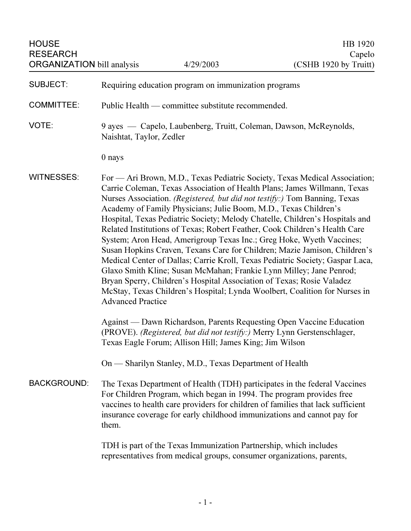| <b>HOUSE</b><br><b>RESEARCH</b><br><b>ORGANIZATION bill analysis</b> |                                                                                                                                                                                                                                                                                                                                                                                                                                                                                                                                                                                                                                                                                                                                                                                                                                                                                                                                                                       | 4/29/2003                                               | HB 1920<br>Capelo<br>(CSHB 1920 by Truitt)                                                                                                      |
|----------------------------------------------------------------------|-----------------------------------------------------------------------------------------------------------------------------------------------------------------------------------------------------------------------------------------------------------------------------------------------------------------------------------------------------------------------------------------------------------------------------------------------------------------------------------------------------------------------------------------------------------------------------------------------------------------------------------------------------------------------------------------------------------------------------------------------------------------------------------------------------------------------------------------------------------------------------------------------------------------------------------------------------------------------|---------------------------------------------------------|-------------------------------------------------------------------------------------------------------------------------------------------------|
| <b>SUBJECT:</b>                                                      | Requiring education program on immunization programs                                                                                                                                                                                                                                                                                                                                                                                                                                                                                                                                                                                                                                                                                                                                                                                                                                                                                                                  |                                                         |                                                                                                                                                 |
| <b>COMMITTEE:</b>                                                    | Public Health — committee substitute recommended.                                                                                                                                                                                                                                                                                                                                                                                                                                                                                                                                                                                                                                                                                                                                                                                                                                                                                                                     |                                                         |                                                                                                                                                 |
| VOTE:                                                                | 9 ayes — Capelo, Laubenberg, Truitt, Coleman, Dawson, McReynolds,<br>Naishtat, Taylor, Zedler                                                                                                                                                                                                                                                                                                                                                                                                                                                                                                                                                                                                                                                                                                                                                                                                                                                                         |                                                         |                                                                                                                                                 |
|                                                                      | 0 nays                                                                                                                                                                                                                                                                                                                                                                                                                                                                                                                                                                                                                                                                                                                                                                                                                                                                                                                                                                |                                                         |                                                                                                                                                 |
| <b>WITNESSES:</b>                                                    | For — Ari Brown, M.D., Texas Pediatric Society, Texas Medical Association;<br>Carrie Coleman, Texas Association of Health Plans; James Willmann, Texas<br>Nurses Association. (Registered, but did not testify:) Tom Banning, Texas<br>Academy of Family Physicians; Julie Boom, M.D., Texas Children's<br>Hospital, Texas Pediatric Society; Melody Chatelle, Children's Hospitals and<br>Related Institutions of Texas; Robert Feather, Cook Children's Health Care<br>System; Aron Head, Amerigroup Texas Inc.; Greg Hoke, Wyeth Vaccines;<br>Susan Hopkins Craven, Texans Care for Children; Mazie Jamison, Children's<br>Medical Center of Dallas; Carrie Kroll, Texas Pediatric Society; Gaspar Laca,<br>Glaxo Smith Kline; Susan McMahan; Frankie Lynn Milley; Jane Penrod;<br>Bryan Sperry, Children's Hospital Association of Texas; Rosie Valadez<br>McStay, Texas Children's Hospital; Lynda Woolbert, Coalition for Nurses in<br><b>Advanced Practice</b> |                                                         |                                                                                                                                                 |
|                                                                      |                                                                                                                                                                                                                                                                                                                                                                                                                                                                                                                                                                                                                                                                                                                                                                                                                                                                                                                                                                       | Texas Eagle Forum; Allison Hill; James King; Jim Wilson | Against — Dawn Richardson, Parents Requesting Open Vaccine Education<br>(PROVE). (Registered, but did not testify:) Merry Lynn Gerstenschlager, |
|                                                                      |                                                                                                                                                                                                                                                                                                                                                                                                                                                                                                                                                                                                                                                                                                                                                                                                                                                                                                                                                                       | On — Sharilyn Stanley, M.D., Texas Department of Health |                                                                                                                                                 |
| <b>BACKGROUND:</b>                                                   | The Texas Department of Health (TDH) participates in the federal Vaccines<br>For Children Program, which began in 1994. The program provides free<br>vaccines to health care providers for children of families that lack sufficient<br>insurance coverage for early childhood immunizations and cannot pay for<br>them.                                                                                                                                                                                                                                                                                                                                                                                                                                                                                                                                                                                                                                              |                                                         |                                                                                                                                                 |
|                                                                      | TDH is part of the Texas Immunization Partnership, which includes<br>representatives from medical groups, consumer organizations, parents,                                                                                                                                                                                                                                                                                                                                                                                                                                                                                                                                                                                                                                                                                                                                                                                                                            |                                                         |                                                                                                                                                 |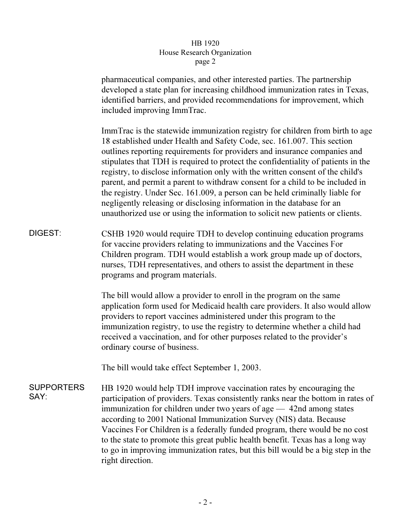## HB 1920 House Research Organization page 2  $r^{2}$

pharmaceutical companies, and other interested parties. The partnership developed a state plan for increasing childhood immunization rates in Texas, identified barriers, and provided recommendations for improvement, which included improving ImmTrac.

ImmTrac is the statewide immunization registry for children from birth to age 18 established under Health and Safety Code, sec. 161.007. This section outlines reporting requirements for providers and insurance companies and stipulates that TDH is required to protect the confidentiality of patients in the registry, to disclose information only with the written consent of the child's parent, and permit a parent to withdraw consent for a child to be included in the registry. Under Sec. 161.009, a person can be held criminally liable for negligently releasing or disclosing information in the database for an unauthorized use or using the information to solicit new patients or clients.

DIGEST: CSHB 1920 would require TDH to develop continuing education programs for vaccine providers relating to immunizations and the Vaccines For Children program. TDH would establish a work group made up of doctors, nurses, TDH representatives, and others to assist the department in these programs and program materials.

> The bill would allow a provider to enroll in the program on the same application form used for Medicaid health care providers. It also would allow providers to report vaccines administered under this program to the immunization registry, to use the registry to determine whether a child had received a vaccination, and for other purposes related to the provider's ordinary course of business.

The bill would take effect September 1, 2003.

**SUPPORTERS** SAY: HB 1920 would help TDH improve vaccination rates by encouraging the participation of providers. Texas consistently ranks near the bottom in rates of immunization for children under two years of age — 42nd among states according to 2001 National Immunization Survey (NIS) data. Because Vaccines For Children is a federally funded program, there would be no cost to the state to promote this great public health benefit. Texas has a long way to go in improving immunization rates, but this bill would be a big step in the right direction.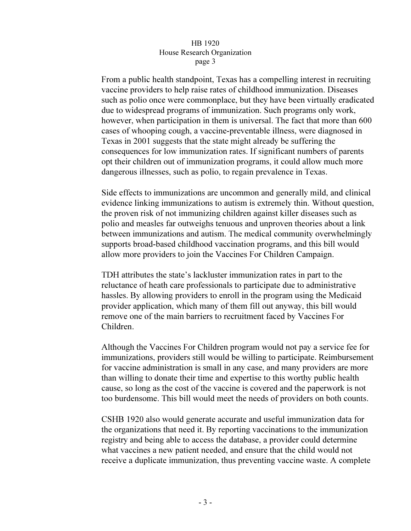## HB 1920 House Research Organization page 3  $\mathbf{r}$   $\mathbf{r}$   $\mathbf{s}$   $\mathbf{r}$   $\mathbf{s}$

From a public health standpoint, Texas has a compelling interest in recruiting vaccine providers to help raise rates of childhood immunization. Diseases such as polio once were commonplace, but they have been virtually eradicated due to widespread programs of immunization. Such programs only work, however, when participation in them is universal. The fact that more than 600 cases of whooping cough, a vaccine-preventable illness, were diagnosed in Texas in 2001 suggests that the state might already be suffering the consequences for low immunization rates. If significant numbers of parents opt their children out of immunization programs, it could allow much more dangerous illnesses, such as polio, to regain prevalence in Texas.

Side effects to immunizations are uncommon and generally mild, and clinical evidence linking immunizations to autism is extremely thin. Without question, the proven risk of not immunizing children against killer diseases such as polio and measles far outweighs tenuous and unproven theories about a link between immunizations and autism. The medical community overwhelmingly supports broad-based childhood vaccination programs, and this bill would allow more providers to join the Vaccines For Children Campaign.

TDH attributes the state's lackluster immunization rates in part to the reluctance of heath care professionals to participate due to administrative hassles. By allowing providers to enroll in the program using the Medicaid provider application, which many of them fill out anyway, this bill would remove one of the main barriers to recruitment faced by Vaccines For Children.

Although the Vaccines For Children program would not pay a service fee for immunizations, providers still would be willing to participate. Reimbursement for vaccine administration is small in any case, and many providers are more than willing to donate their time and expertise to this worthy public health cause, so long as the cost of the vaccine is covered and the paperwork is not too burdensome. This bill would meet the needs of providers on both counts.

CSHB 1920 also would generate accurate and useful immunization data for the organizations that need it. By reporting vaccinations to the immunization registry and being able to access the database, a provider could determine what vaccines a new patient needed, and ensure that the child would not receive a duplicate immunization, thus preventing vaccine waste. A complete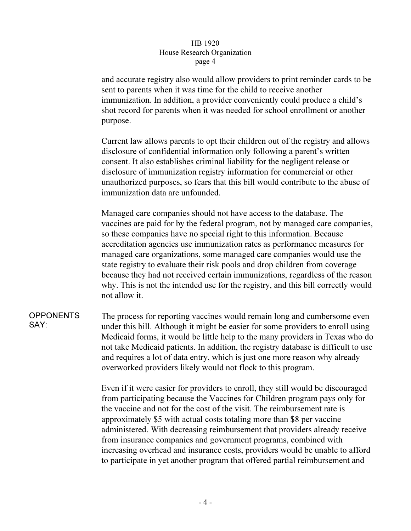## HB 1920 House Research Organization page 4  $\mathbf{r}^{\mu}$ ge  $\mathbf{r}$

and accurate registry also would allow providers to print reminder cards to be sent to parents when it was time for the child to receive another immunization. In addition, a provider conveniently could produce a child's shot record for parents when it was needed for school enrollment or another purpose.

Current law allows parents to opt their children out of the registry and allows disclosure of confidential information only following a parent's written consent. It also establishes criminal liability for the negligent release or disclosure of immunization registry information for commercial or other unauthorized purposes, so fears that this bill would contribute to the abuse of immunization data are unfounded.

Managed care companies should not have access to the database. The vaccines are paid for by the federal program, not by managed care companies, so these companies have no special right to this information. Because accreditation agencies use immunization rates as performance measures for managed care organizations, some managed care companies would use the state registry to evaluate their risk pools and drop children from coverage because they had not received certain immunizations, regardless of the reason why. This is not the intended use for the registry, and this bill correctly would not allow it.

**OPPONENTS** SAY: The process for reporting vaccines would remain long and cumbersome even under this bill. Although it might be easier for some providers to enroll using Medicaid forms, it would be little help to the many providers in Texas who do not take Medicaid patients. In addition, the registry database is difficult to use and requires a lot of data entry, which is just one more reason why already overworked providers likely would not flock to this program.

> Even if it were easier for providers to enroll, they still would be discouraged from participating because the Vaccines for Children program pays only for the vaccine and not for the cost of the visit. The reimbursement rate is approximately \$5 with actual costs totaling more than \$8 per vaccine administered. With decreasing reimbursement that providers already receive from insurance companies and government programs, combined with increasing overhead and insurance costs, providers would be unable to afford to participate in yet another program that offered partial reimbursement and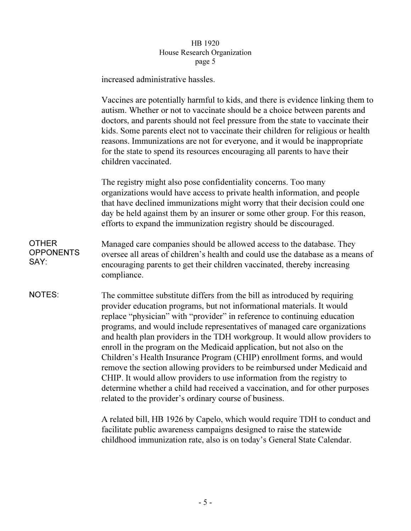# HB 1920<br>House Research Organization  $\frac{1}{2}$  $r^{\alpha}$

increased administrative hassles.

|                                          | Vaccines are potentially harmful to kids, and there is evidence linking them to<br>autism. Whether or not to vaccinate should be a choice between parents and<br>doctors, and parents should not feel pressure from the state to vaccinate their<br>kids. Some parents elect not to vaccinate their children for religious or health<br>reasons. Immunizations are not for everyone, and it would be inappropriate<br>for the state to spend its resources encouraging all parents to have their<br>children vaccinated.                                                                                                                                                                                                                                                                                                                         |  |
|------------------------------------------|--------------------------------------------------------------------------------------------------------------------------------------------------------------------------------------------------------------------------------------------------------------------------------------------------------------------------------------------------------------------------------------------------------------------------------------------------------------------------------------------------------------------------------------------------------------------------------------------------------------------------------------------------------------------------------------------------------------------------------------------------------------------------------------------------------------------------------------------------|--|
|                                          | The registry might also pose confidentiality concerns. Too many<br>organizations would have access to private health information, and people<br>that have declined immunizations might worry that their decision could one<br>day be held against them by an insurer or some other group. For this reason,<br>efforts to expand the immunization registry should be discouraged.                                                                                                                                                                                                                                                                                                                                                                                                                                                                 |  |
| <b>OTHER</b><br><b>OPPONENTS</b><br>SAY: | Managed care companies should be allowed access to the database. They<br>oversee all areas of children's health and could use the database as a means of<br>encouraging parents to get their children vaccinated, thereby increasing<br>compliance.                                                                                                                                                                                                                                                                                                                                                                                                                                                                                                                                                                                              |  |
| <b>NOTES:</b>                            | The committee substitute differs from the bill as introduced by requiring<br>provider education programs, but not informational materials. It would<br>replace "physician" with "provider" in reference to continuing education<br>programs, and would include representatives of managed care organizations<br>and health plan providers in the TDH workgroup. It would allow providers to<br>enroll in the program on the Medicaid application, but not also on the<br>Children's Health Insurance Program (CHIP) enrollment forms, and would<br>remove the section allowing providers to be reimbursed under Medicaid and<br>CHIP. It would allow providers to use information from the registry to<br>determine whether a child had received a vaccination, and for other purposes<br>related to the provider's ordinary course of business. |  |
|                                          | A related bill, HB 1926 by Capelo, which would require TDH to conduct and                                                                                                                                                                                                                                                                                                                                                                                                                                                                                                                                                                                                                                                                                                                                                                        |  |

facilitate public awareness campaigns designed to raise the statewide childhood immunization rate, also is on today's General State Calendar.